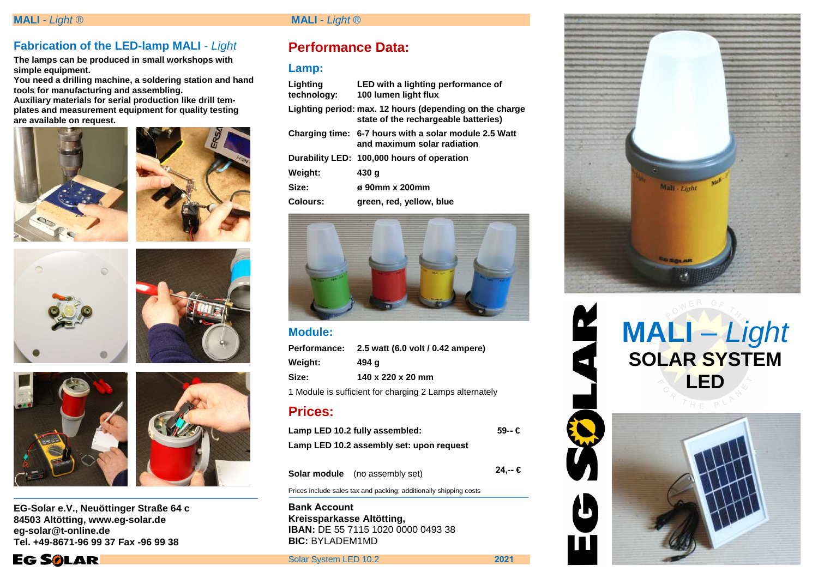# **Fabrication of the LED-lamp MALI** - Light

**The lamps can be produced in small workshops with simple equipment.** 

 **You need a drilling machine, a soldering station and hand tools for manufacturing and assembling. Auxiliary materials for serial production like drill tem-**

**plates and measurement equipment for quality testing are available on request.** 









**EG-Solar e.V., Neuöttinger Straße 64 c 84503 Altötting, www.eg-solar.de eg-solar@t-online.de Tel. +49-8671-96 99 37 Fax -96 99 38** 

**EG SOLAR** 



# **MALI** - Light ® **MALI** - Light ®

# **Performance Data:**

## **Lamp:**

| Lighting<br>technology: | LED with a lighting performance of<br>100 lumen light flux                                      |
|-------------------------|-------------------------------------------------------------------------------------------------|
|                         | Lighting period: max. 12 hours (depending on the charge<br>state of the rechargeable batteries) |
|                         | Charging time: 6-7 hours with a solar module 2.5 Watt<br>and maximum solar radiation            |
|                         | Durability LED: 100,000 hours of operation                                                      |
| Weight:                 | 430 q                                                                                           |
| Size:                   | ø 90mm x 200mm                                                                                  |
| Colours:                | green, red, yellow, blue                                                                        |
|                         |                                                                                                 |



## **Module:**

| Performance:                                            | 2.5 watt (6.0 volt / 0.42 ampere) |  |
|---------------------------------------------------------|-----------------------------------|--|
| Weight:                                                 | 494 q                             |  |
| Size:                                                   | 140 x 220 x 20 mm                 |  |
| 1 Module is sufficient for charging 2 Lamps alternately |                                   |  |
| <b>Prices:</b>                                          |                                   |  |

|                                          | Lamp LED 10.2 fully assembled:        | $59 - €$ |
|------------------------------------------|---------------------------------------|----------|
| Lamp LED 10.2 assembly set: upon request |                                       |          |
|                                          |                                       | 24.-- €  |
|                                          | <b>Solar module</b> (no assembly set) |          |

Prices include sales tax and packing; additionally shipping costs

**Bank Account Kreissparkasse Altötting, IBAN:** DE 55 7115 1020 0000 0493 38 **BIC:** BYLADEM1MD

Solar System LED 10.2 **2021**